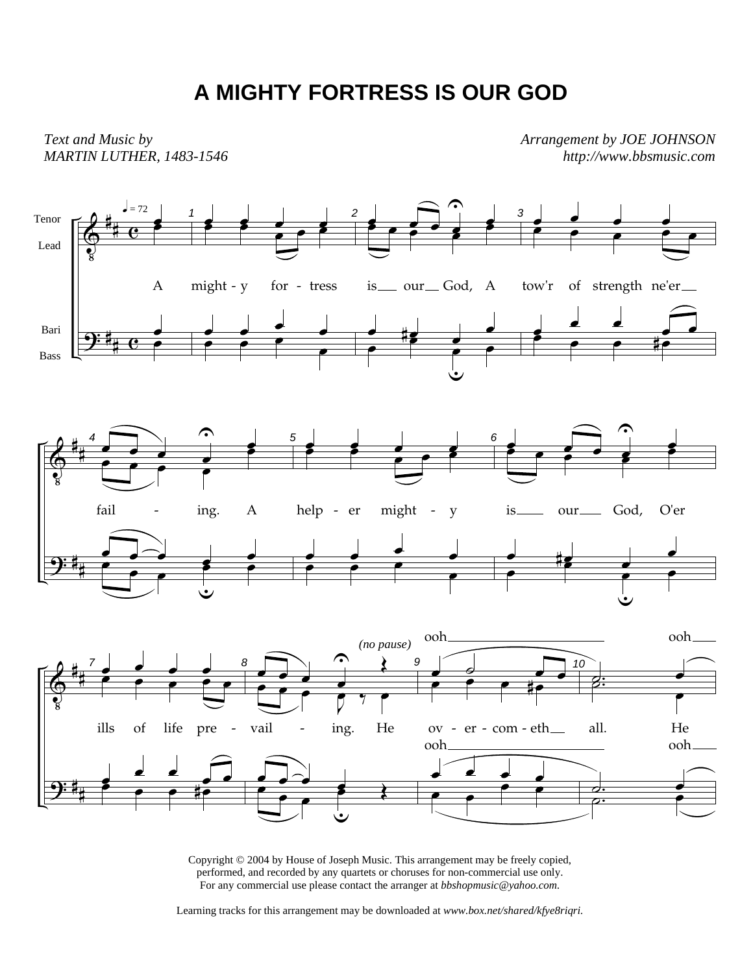## **A MIGHTY FORTRESS IS OUR GOD**

*Text and Music by MARTIN LUTHER, 1483-1546* *Arrangement by JOE JOHNSON http://www.bbsmusic.com*



Copyright © 2004 by House of Joseph Music. This arrangement may be freely copied, performed, and recorded by any quartets or choruses for non-commercial use only. For any commercial use please contact the arranger at *bbshopmusic@yahoo.com.*

Learning tracks for this arrangement may be downloaded at *www.box.net/shared/kfye8riqri.*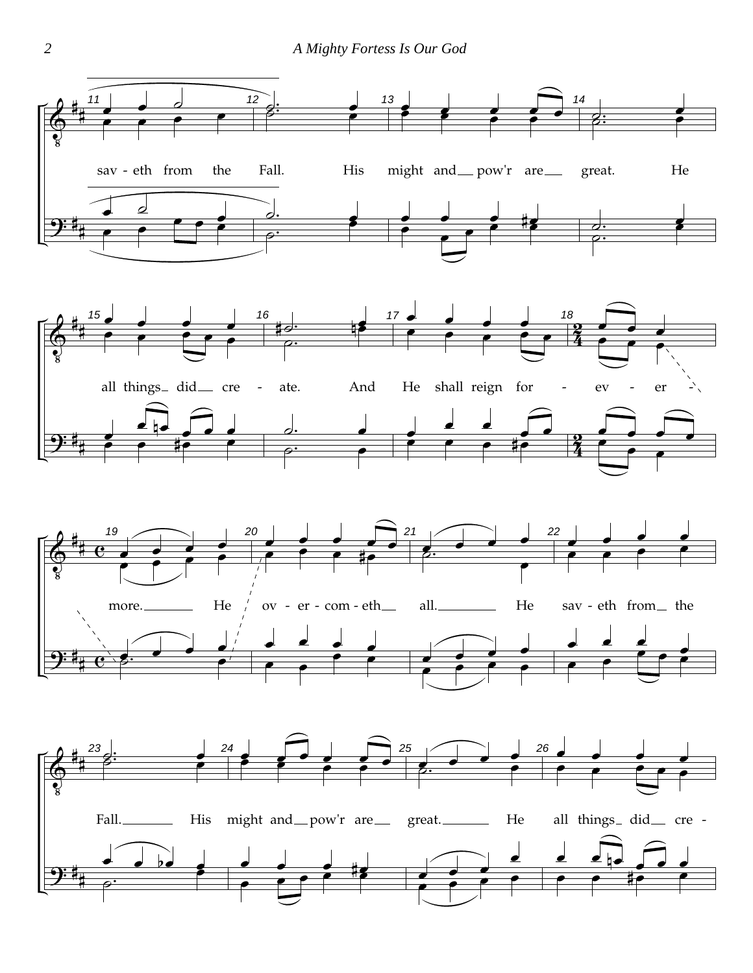